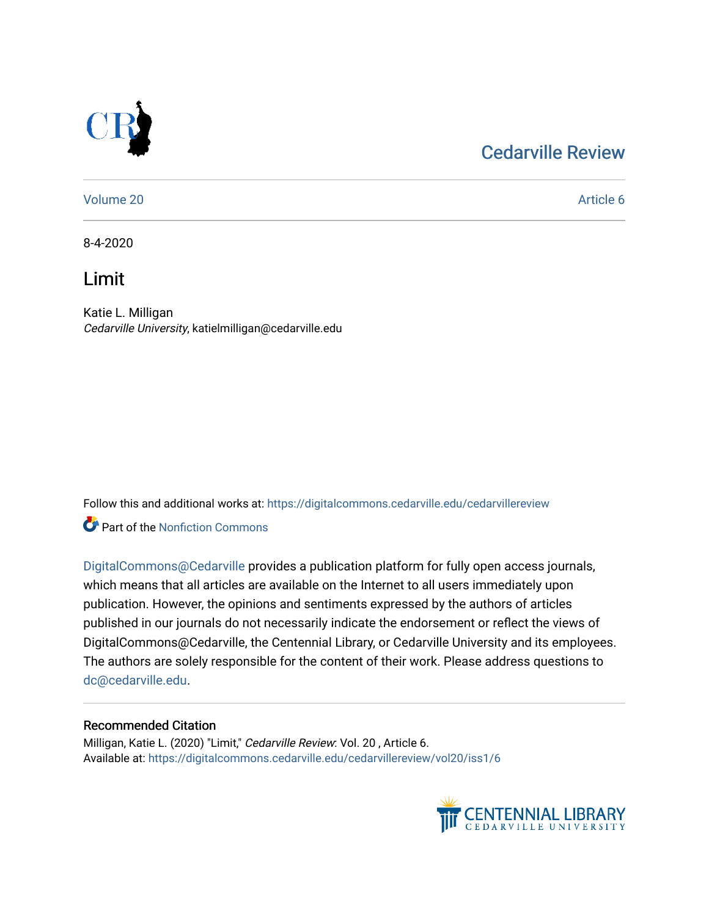# [Cedarville Review](https://digitalcommons.cedarville.edu/cedarvillereview)



[Volume 20](https://digitalcommons.cedarville.edu/cedarvillereview/vol20) [Article 6](https://digitalcommons.cedarville.edu/cedarvillereview/vol20/iss1/6) 

8-4-2020

# Limit

Katie L. Milligan Cedarville University, katielmilligan@cedarville.edu

Follow this and additional works at: [https://digitalcommons.cedarville.edu/cedarvillereview](https://digitalcommons.cedarville.edu/cedarvillereview?utm_source=digitalcommons.cedarville.edu%2Fcedarvillereview%2Fvol20%2Fiss1%2F6&utm_medium=PDF&utm_campaign=PDFCoverPages) 

**C** Part of the Nonfiction Commons

[DigitalCommons@Cedarville](http://digitalcommons.cedarville.edu/) provides a publication platform for fully open access journals, which means that all articles are available on the Internet to all users immediately upon publication. However, the opinions and sentiments expressed by the authors of articles published in our journals do not necessarily indicate the endorsement or reflect the views of DigitalCommons@Cedarville, the Centennial Library, or Cedarville University and its employees. The authors are solely responsible for the content of their work. Please address questions to [dc@cedarville.edu.](mailto:dc@cedarville.edu)

## Recommended Citation

Milligan, Katie L. (2020) "Limit," Cedarville Review: Vol. 20 , Article 6. Available at: [https://digitalcommons.cedarville.edu/cedarvillereview/vol20/iss1/6](https://digitalcommons.cedarville.edu/cedarvillereview/vol20/iss1/6?utm_source=digitalcommons.cedarville.edu%2Fcedarvillereview%2Fvol20%2Fiss1%2F6&utm_medium=PDF&utm_campaign=PDFCoverPages) 

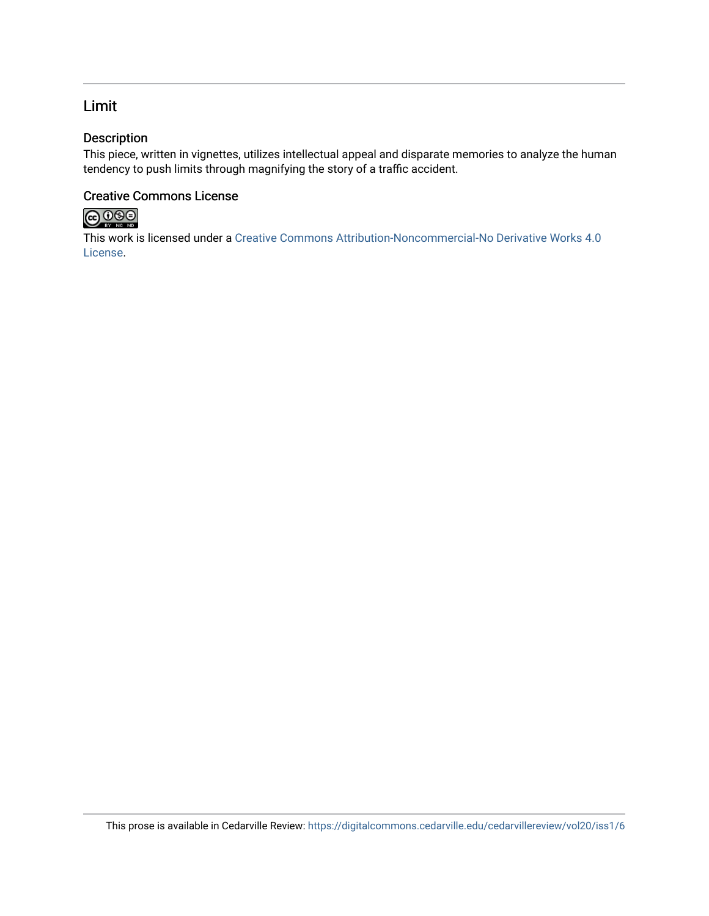# Limit

## Description

This piece, written in vignettes, utilizes intellectual appeal and disparate memories to analyze the human tendency to push limits through magnifying the story of a traffic accident.

### Creative Commons License



This work is licensed under a [Creative Commons Attribution-Noncommercial-No Derivative Works 4.0](http://creativecommons.org/licenses/by-nc-nd/4.0/) [License](http://creativecommons.org/licenses/by-nc-nd/4.0/).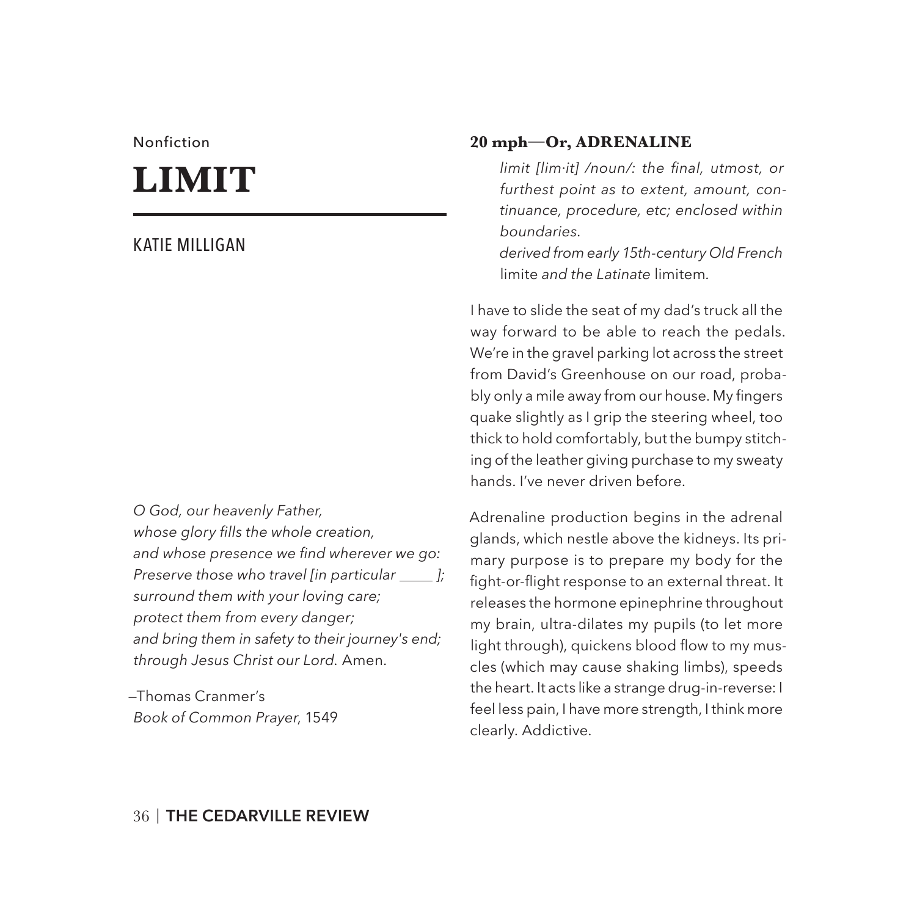#### Nonfiction

# **LIMIT**

#### KATIE MILLIGAN

*O God, our heavenly Father, whose glory fills the whole creation, and whose presence we find wherever we go: Preserve those who travel [in particular*  $\frac{1}{2}$ *]; surround them with your loving care; protect them from every danger; and bring them in safety to their journey's end; through Jesus Christ our Lord.* Amen.

—Thomas Cranmer's *Book of Common Prayer*, 1549

#### **20 mph—Or, ADRENALINE**

*limit [lim·it] /noun/: the final, utmost, or furthest point as to extent, amount, continuance, procedure, etc; enclosed within boundaries.*

*derived from early 15th-century Old French*  limite *and the Latinate* limitem*.*

I have to slide the seat of my dad's truck all the way forward to be able to reach the pedals. We're in the gravel parking lot across the street from David's Greenhouse on our road, probably only a mile away from our house. My fingers quake slightly as I grip the steering wheel, too thick to hold comfortably, but the bumpy stitching of the leather giving purchase to my sweaty hands. I've never driven before.

Adrenaline production begins in the adrenal glands, which nestle above the kidneys. Its primary purpose is to prepare my body for the fight-or-flight response to an external threat. It releases the hormone epinephrine throughout my brain, ultra-dilates my pupils (to let more light through), quickens blood flow to my muscles (which may cause shaking limbs), speeds the heart. It acts like a strange drug-in-reverse: I feel less pain, I have more strength, I think more clearly. Addictive.

#### 36 | **THE CEDARVILLE REVIEW**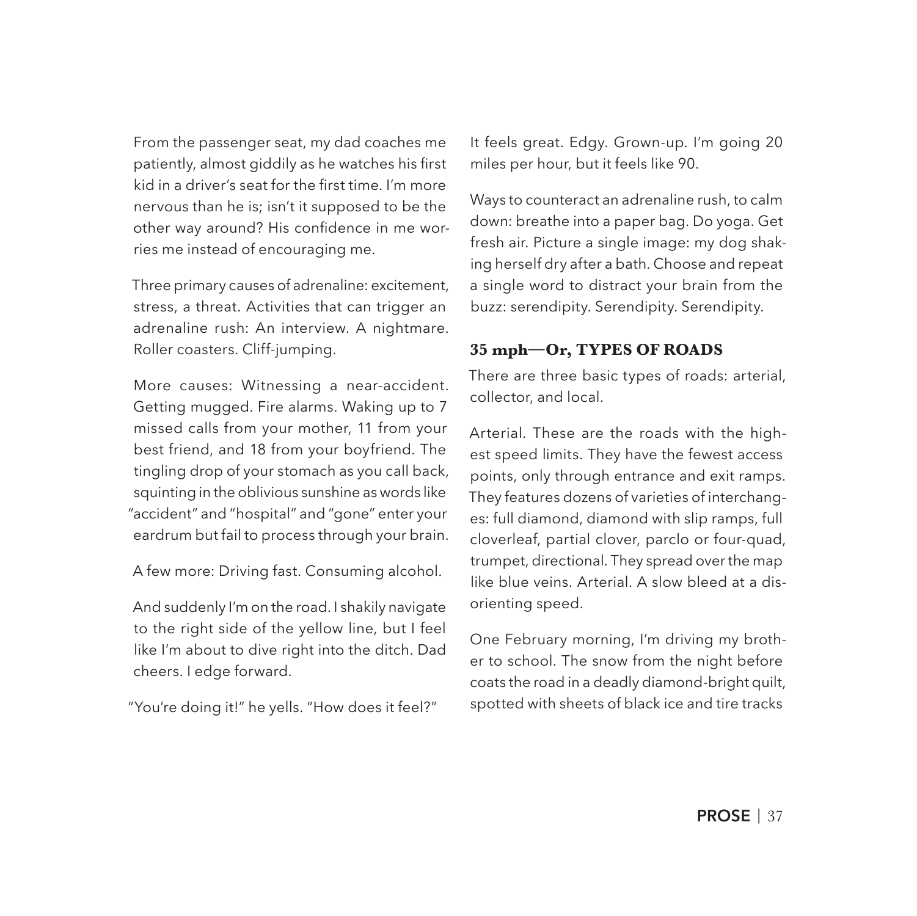From the passenger seat, my dad coaches me patiently, almost giddily as he watches his first kid in a driver's seat for the first time. I'm more nervous than he is; isn't it supposed to be the other way around? His confidence in me worries me instead of encouraging me.

Three primary causes of adrenaline: excitement, stress, a threat. Activities that can trigger an adrenaline rush: An interview. A nightmare. Roller coasters. Cliff-jumping.

More causes: Witnessing a near-accident. Getting mugged. Fire alarms. Waking up to 7 missed calls from your mother, 11 from your best friend, and 18 from your boyfriend. The tingling drop of your stomach as you call back, squinting in the oblivious sunshine as words like "accident" and "hospital" and "gone" enter your eardrum but fail to process through your brain.

A few more: Driving fast. Consuming alcohol.

And suddenly I'm on the road. I shakily navigate to the right side of the yellow line, but I feel like I'm about to dive right into the ditch. Dad cheers. I edge forward.

"You're doing it!" he yells. "How does it feel?"

It feels great. Edgy. Grown-up. I'm going 20 miles per hour, but it feels like 90.

Ways to counteract an adrenaline rush, to calm down: breathe into a paper bag. Do yoga. Get fresh air. Picture a single image: my dog shaking herself dry after a bath. Choose and repeat a single word to distract your brain from the buzz: serendipity. Serendipity. Serendipity.

#### **35 mph—Or, TYPES OF ROADS**

There are three basic types of roads: arterial, collector, and local.

Arterial. These are the roads with the highest speed limits. They have the fewest access points, only through entrance and exit ramps. They features dozens of varieties of interchanges: full diamond, diamond with slip ramps, full cloverleaf, partial clover, parclo or four-quad, trumpet, directional. They spread over the map like blue veins. Arterial. A slow bleed at a disorienting speed.

One February morning, I'm driving my brother to school. The snow from the night before coats the road in a deadly diamond-bright quilt, spotted with sheets of black ice and tire tracks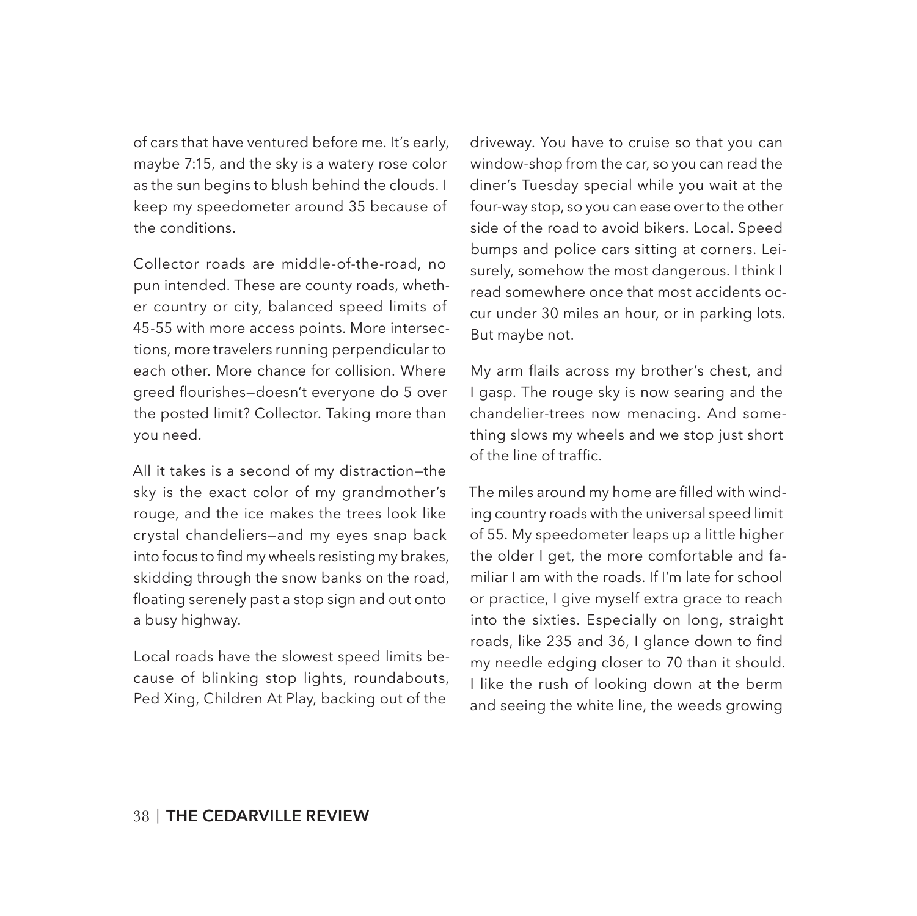of cars that have ventured before me. It's early, maybe 7:15, and the sky is a watery rose color as the sun begins to blush behind the clouds. I keep my speedometer around 35 because of the conditions.

Collector roads are middle-of-the-road, no pun intended. These are county roads, whether country or city, balanced speed limits of 45-55 with more access points. More intersections, more travelers running perpendicular to each other. More chance for collision. Where greed flourishes—doesn't everyone do 5 over the posted limit? Collector. Taking more than you need.

All it takes is a second of my distraction—the sky is the exact color of my grandmother's rouge, and the ice makes the trees look like crystal chandeliers—and my eyes snap back into focus to find my wheels resisting my brakes, skidding through the snow banks on the road, floating serenely past a stop sign and out onto a busy highway.

Local roads have the slowest speed limits because of blinking stop lights, roundabouts, Ped Xing, Children At Play, backing out of the

driveway. You have to cruise so that you can window-shop from the car, so you can read the diner's Tuesday special while you wait at the four-way stop, so you can ease over to the other side of the road to avoid bikers. Local. Speed bumps and police cars sitting at corners. Leisurely, somehow the most dangerous. I think I read somewhere once that most accidents occur under 30 miles an hour, or in parking lots. But maybe not.

My arm flails across my brother's chest, and I gasp. The rouge sky is now searing and the chandelier-trees now menacing. And something slows my wheels and we stop just short of the line of traffic.

The miles around my home are filled with winding country roads with the universal speed limit of 55. My speedometer leaps up a little higher the older I get, the more comfortable and familiar I am with the roads. If I'm late for school or practice, I give myself extra grace to reach into the sixties. Especially on long, straight roads, like 235 and 36, I glance down to find my needle edging closer to 70 than it should. I like the rush of looking down at the berm and seeing the white line, the weeds growing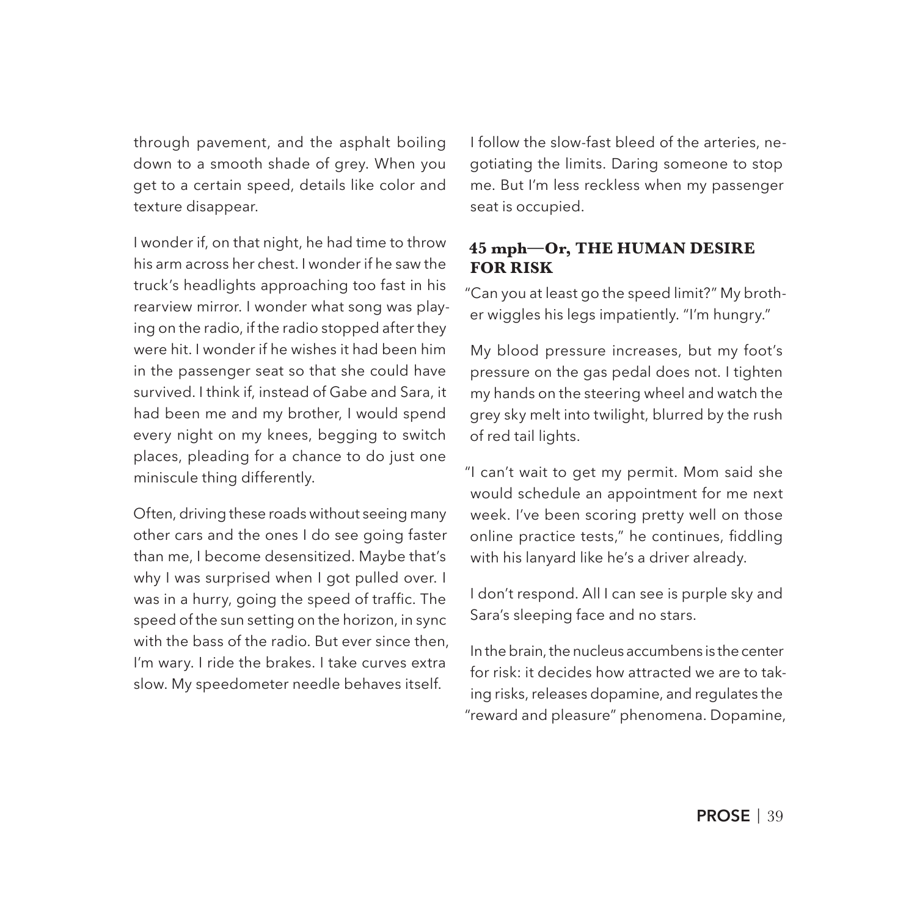through pavement, and the asphalt boiling down to a smooth shade of grey. When you get to a certain speed, details like color and texture disappear.

I wonder if, on that night, he had time to throw his arm across her chest. I wonder if he saw the truck's headlights approaching too fast in his rearview mirror. I wonder what song was playing on the radio, if the radio stopped after they were hit. I wonder if he wishes it had been him in the passenger seat so that she could have survived. I think if, instead of Gabe and Sara, it had been me and my brother, I would spend every night on my knees, begging to switch places, pleading for a chance to do just one miniscule thing differently.

Often, driving these roads without seeing many other cars and the ones I do see going faster than me, I become desensitized. Maybe that's why I was surprised when I got pulled over. I was in a hurry, going the speed of traffic. The speed of the sun setting on the horizon, in sync with the bass of the radio. But ever since then, I'm wary. I ride the brakes. I take curves extra slow. My speedometer needle behaves itself.

I follow the slow-fast bleed of the arteries, negotiating the limits. Daring someone to stop me. But I'm less reckless when my passenger seat is occupied.

#### **45 mph—Or, THE HUMAN DESIRE FOR RISK**

"Can you at least go the speed limit?" My brother wiggles his legs impatiently. "I'm hungry."

My blood pressure increases, but my foot's pressure on the gas pedal does not. I tighten my hands on the steering wheel and watch the grey sky melt into twilight, blurred by the rush of red tail lights.

"I can't wait to get my permit. Mom said she would schedule an appointment for me next week. I've been scoring pretty well on those online practice tests," he continues, fiddling with his lanyard like he's a driver already.

I don't respond. All I can see is purple sky and Sara's sleeping face and no stars.

In the brain, the nucleus accumbens is the center for risk: it decides how attracted we are to taking risks, releases dopamine, and regulates the "reward and pleasure" phenomena. Dopamine,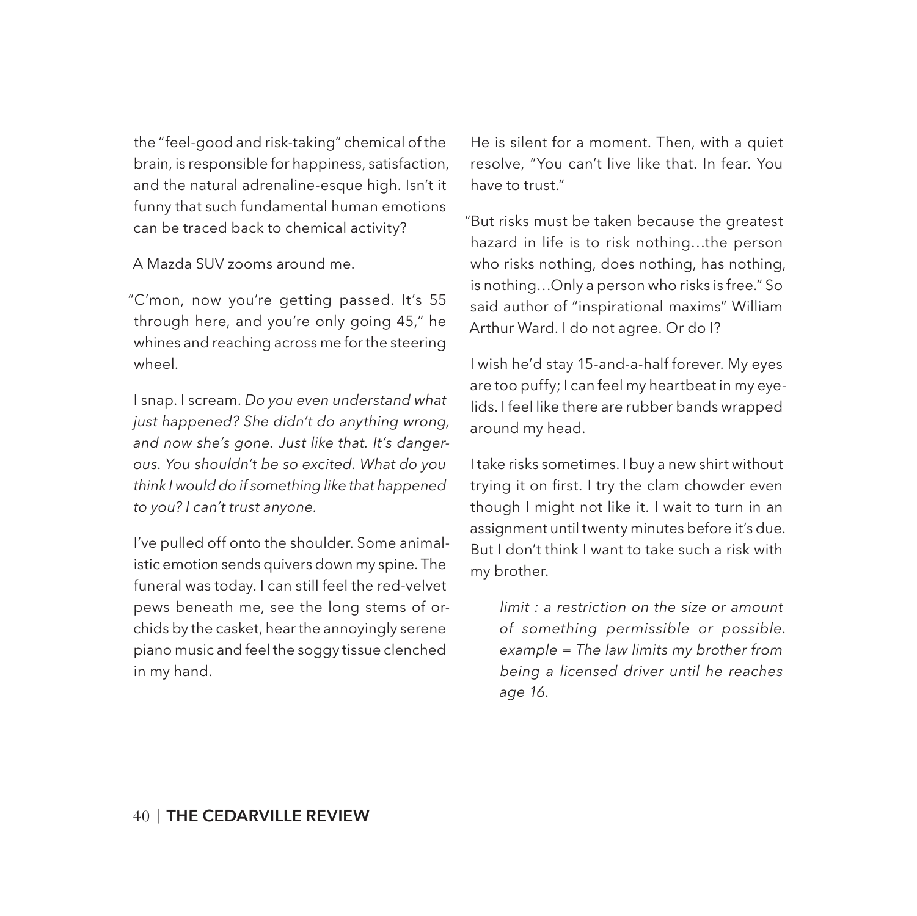the "feel-good and risk-taking" chemical of the brain, is responsible for happiness, satisfaction, and the natural adrenaline-esque high. Isn't it funny that such fundamental human emotions can be traced back to chemical activity?

A Mazda SUV zooms around me.

"C'mon, now you're getting passed. It's 55 through here, and you're only going 45," he whines and reaching across me for the steering wheel.

I snap. I scream. *Do you even understand what just happened? She didn't do anything wrong, and now she's gone. Just like that. It's dangerous. You shouldn't be so excited. What do you think I would do if something like that happened to you? I can't trust anyone.*

I've pulled off onto the shoulder. Some animalistic emotion sends quivers down my spine. The funeral was today. I can still feel the red-velvet pews beneath me, see the long stems of orchids by the casket, hear the annoyingly serene piano music and feel the soggy tissue clenched in my hand.

He is silent for a moment. Then, with a quiet resolve, "You can't live like that. In fear. You have to trust."

"But risks must be taken because the greatest hazard in life is to risk nothing…the person who risks nothing, does nothing, has nothing, is nothing…Only a person who risks is free." So said author of "inspirational maxims" William Arthur Ward. I do not agree. Or do I?

I wish he'd stay 15-and-a-half forever. My eyes are too puffy; I can feel my heartbeat in my eyelids. I feel like there are rubber bands wrapped around my head.

I take risks sometimes. I buy a new shirt without trying it on first. I try the clam chowder even though I might not like it. I wait to turn in an assignment until twenty minutes before it's due. But I don't think I want to take such a risk with my brother.

*limit : a restriction on the size or amount of something permissible or possible. example = The law limits my brother from being a licensed driver until he reaches age 16.*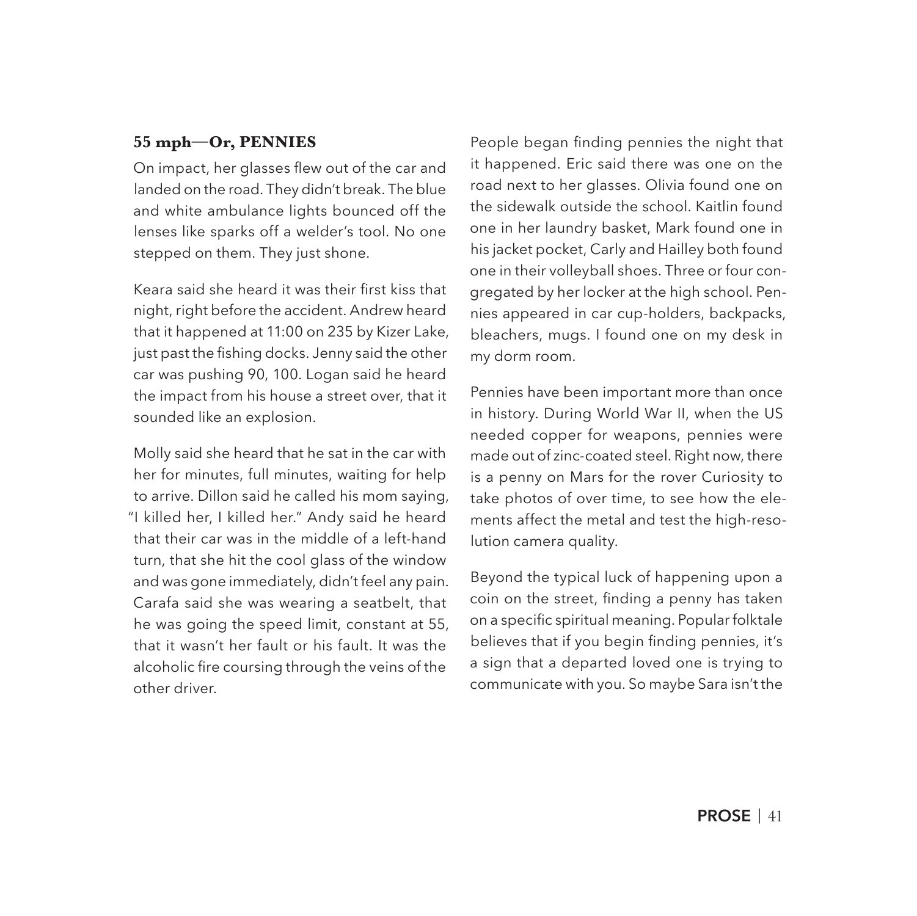#### **55 mph—Or, PENNIES**

On impact, her glasses flew out of the car and landed on the road. They didn't break. The blue and white ambulance lights bounced off the lenses like sparks off a welder's tool. No one stepped on them. They just shone.

Keara said she heard it was their first kiss that night, right before the accident. Andrew heard that it happened at 11:00 on 235 by Kizer Lake, just past the fishing docks. Jenny said the other car was pushing 90, 100. Logan said he heard the impact from his house a street over, that it sounded like an explosion.

Molly said she heard that he sat in the car with her for minutes, full minutes, waiting for help to arrive. Dillon said he called his mom saying, "I killed her, I killed her." Andy said he heard that their car was in the middle of a left-hand turn, that she hit the cool glass of the window and was gone immediately, didn't feel any pain. Carafa said she was wearing a seatbelt, that he was going the speed limit, constant at 55, that it wasn't her fault or his fault. It was the alcoholic fire coursing through the veins of the other driver.

People began finding pennies the night that it happened. Eric said there was one on the road next to her glasses. Olivia found one on the sidewalk outside the school. Kaitlin found one in her laundry basket, Mark found one in his jacket pocket, Carly and Hailley both found one in their volleyball shoes. Three or four congregated by her locker at the high school. Pennies appeared in car cup-holders, backpacks, bleachers, mugs. I found one on my desk in my dorm room.

Pennies have been important more than once in history. During World War II, when the US needed copper for weapons, pennies were made out of zinc-coated steel. Right now, there is a penny on Mars for the rover Curiosity to take photos of over time, to see how the elements affect the metal and test the high-resolution camera quality.

Beyond the typical luck of happening upon a coin on the street, finding a penny has taken on a specific spiritual meaning. Popular folktale believes that if you begin finding pennies, it's a sign that a departed loved one is trying to communicate with you. So maybe Sara isn't the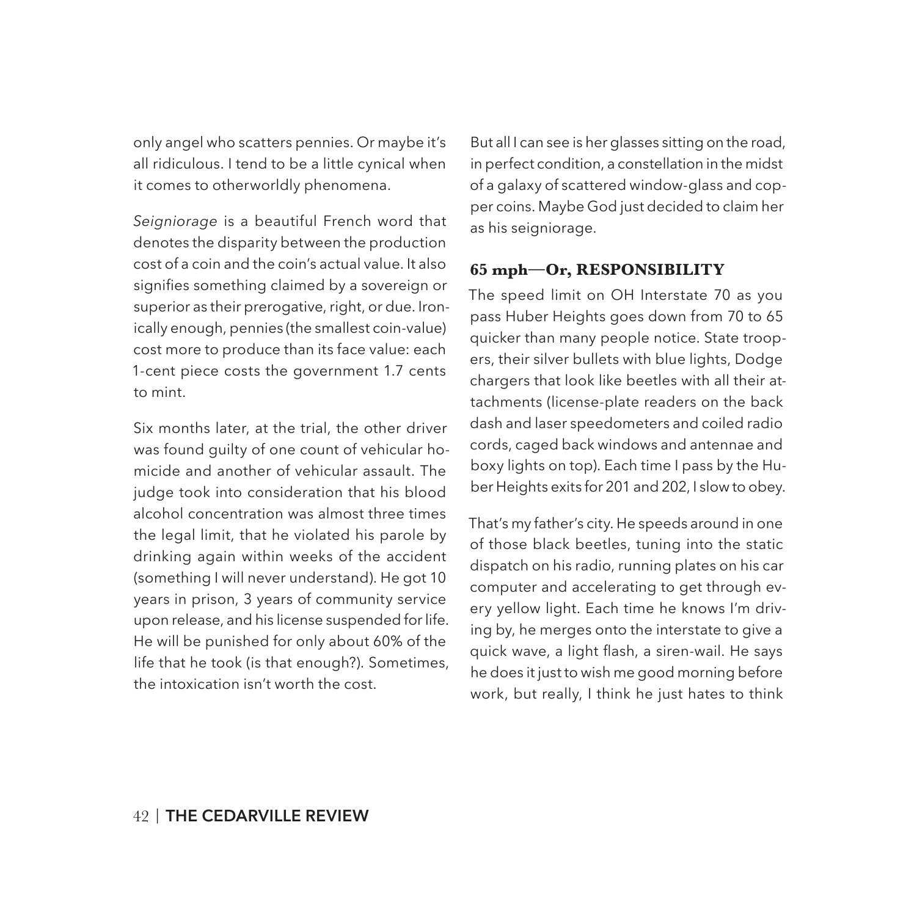only angel who scatters pennies. Or maybe it's all ridiculous. I tend to be a little cynical when it comes to otherworldly phenomena.

*Seigniorage* is a beautiful French word that denotes the disparity between the production cost of a coin and the coin's actual value. It also signifies something claimed by a sovereign or superior as their prerogative, right, or due. Ironically enough, pennies (the smallest coin-value) cost more to produce than its face value: each 1-cent piece costs the government 1.7 cents to mint.

Six months later, at the trial, the other driver was found guilty of one count of vehicular homicide and another of vehicular assault. The judge took into consideration that his blood alcohol concentration was almost three times the legal limit, that he violated his parole by drinking again within weeks of the accident (something I will never understand). He got 10 years in prison, 3 years of community service upon release, and his license suspended for life. He will be punished for only about 60% of the life that he took (is that enough?). Sometimes, the intoxication isn't worth the cost.

But all I can see is her glasses sitting on the road, in perfect condition, a constellation in the midst of a galaxy of scattered window-glass and copper coins. Maybe God just decided to claim her as his seigniorage.

#### **65 mph—Or, RESPONSIBILITY**

The speed limit on OH Interstate 70 as you pass Huber Heights goes down from 70 to 65 quicker than many people notice. State troopers, their silver bullets with blue lights, Dodge chargers that look like beetles with all their attachments (license-plate readers on the back dash and laser speedometers and coiled radio cords, caged back windows and antennae and boxy lights on top). Each time I pass by the Huber Heights exits for 201 and 202, I slow to obey.

That's my father's city. He speeds around in one of those black beetles, tuning into the static dispatch on his radio, running plates on his car computer and accelerating to get through every yellow light. Each time he knows I'm driving by, he merges onto the interstate to give a quick wave, a light flash, a siren-wail. He says he does it just to wish me good morning before work, but really, I think he just hates to think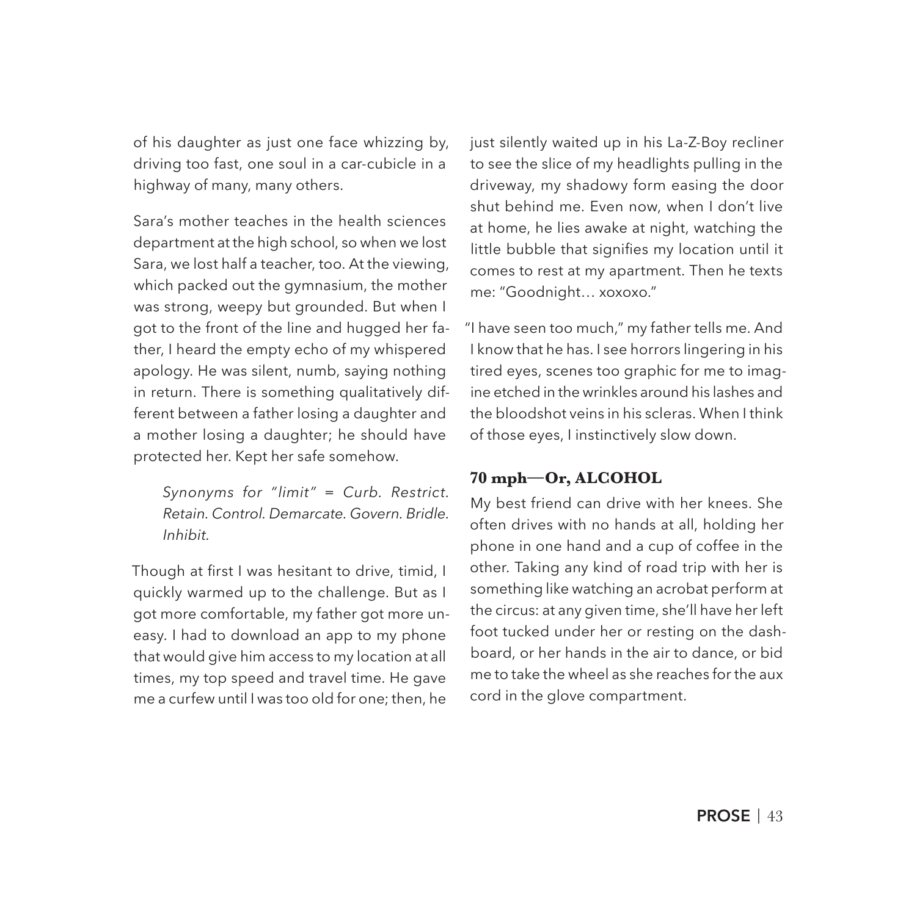of his daughter as just one face whizzing by, driving too fast, one soul in a car-cubicle in a highway of many, many others.

Sara's mother teaches in the health sciences department at the high school, so when we lost Sara, we lost half a teacher, too. At the viewing, which packed out the gymnasium, the mother was strong, weepy but grounded. But when I got to the front of the line and hugged her father, I heard the empty echo of my whispered apology. He was silent, numb, saying nothing in return. There is something qualitatively different between a father losing a daughter and a mother losing a daughter; he should have protected her. Kept her safe somehow.

*Synonyms for "limit" = Curb. Restrict. Retain. Control. Demarcate. Govern. Bridle. Inhibit.*

Though at first I was hesitant to drive, timid, I quickly warmed up to the challenge. But as I got more comfortable, my father got more uneasy. I had to download an app to my phone that would give him access to my location at all times, my top speed and travel time. He gave me a curfew until I was too old for one; then, he

just silently waited up in his La-Z-Boy recliner to see the slice of my headlights pulling in the driveway, my shadowy form easing the door shut behind me. Even now, when I don't live at home, he lies awake at night, watching the little bubble that signifies my location until it comes to rest at my apartment. Then he texts me: "Goodnight… xoxoxo."

"I have seen too much," my father tells me. And I know that he has. I see horrors lingering in his tired eyes, scenes too graphic for me to imagine etched in the wrinkles around his lashes and the bloodshot veins in his scleras. When I think of those eyes, I instinctively slow down.

#### **70 mph—Or, ALCOHOL**

My best friend can drive with her knees. She often drives with no hands at all, holding her phone in one hand and a cup of coffee in the other. Taking any kind of road trip with her is something like watching an acrobat perform at the circus: at any given time, she'll have her left foot tucked under her or resting on the dashboard, or her hands in the air to dance, or bid me to take the wheel as she reaches for the aux cord in the glove compartment.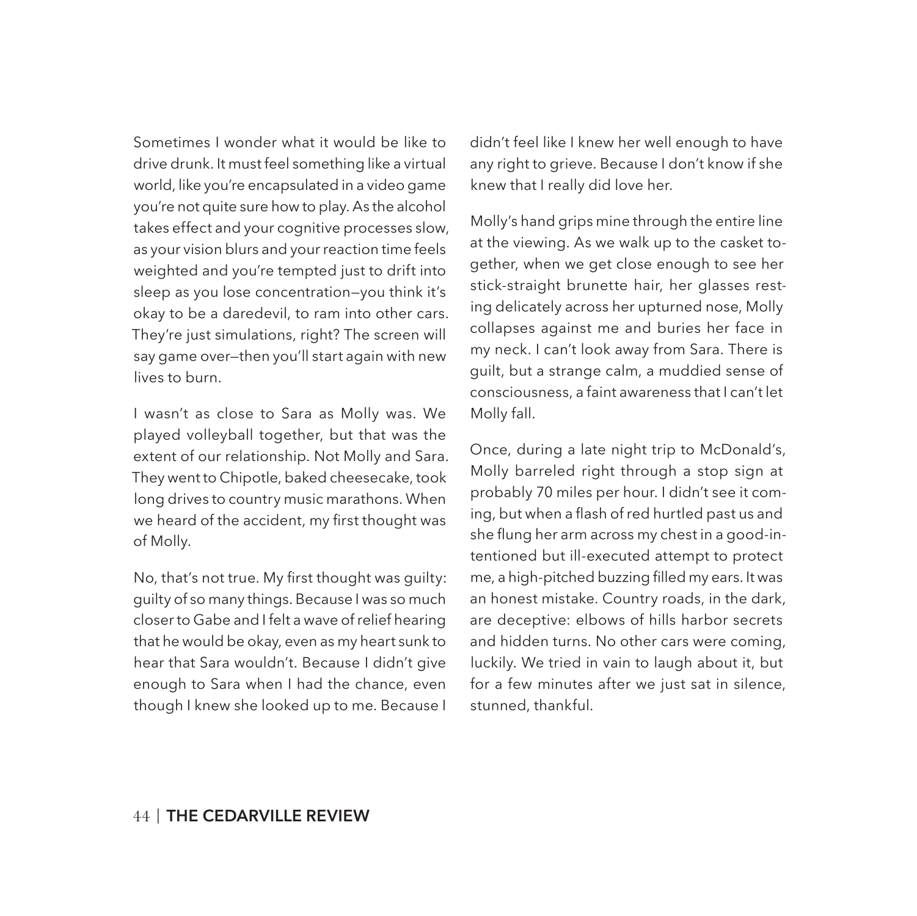Sometimes I wonder what it would be like to drive drunk. It must feel something like a virtual world, like you're encapsulated in a video game you're not quite sure how to play. As the alcohol takes effect and your cognitive processes slow, as your vision blurs and your reaction time feels weighted and you're tempted just to drift into sleep as you lose concentration—you think it's okay to be a daredevil, to ram into other cars. They're just simulations, right? The screen will say game over—then you'll start again with new lives to burn.

I wasn't as close to Sara as Molly was. We played volleyball together, but that was the extent of our relationship. Not Molly and Sara. They went to Chipotle, baked cheesecake, took long drives to country music marathons. When we heard of the accident, my first thought was of Molly.

No, that's not true. My first thought was guilty: guilty of so many things. Because I was so much closer to Gabe and I felt a wave of relief hearing that he would be okay, even as my heart sunk to hear that Sara wouldn't. Because I didn't give enough to Sara when I had the chance, even though I knew she looked up to me. Because I

didn't feel like I knew her well enough to have any right to grieve. Because I don't know if she knew that I really did love her.

Molly's hand grips mine through the entire line at the viewing. As we walk up to the casket together, when we get close enough to see her stick-straight brunette hair, her glasses resting delicately across her upturned nose, Molly collapses against me and buries her face in my neck. I can't look away from Sara. There is guilt, but a strange calm, a muddied sense of consciousness, a faint awareness that I can't let Molly fall.

Once, during a late night trip to McDonald's, Molly barreled right through a stop sign at probably 70 miles per hour. I didn't see it coming, but when a flash of red hurtled past us and she flung her arm across my chest in a good-intentioned but ill-executed attempt to protect me, a high-pitched buzzing filled my ears. It was an honest mistake. Country roads, in the dark, are deceptive: elbows of hills harbor secrets and hidden turns. No other cars were coming, luckily. We tried in vain to laugh about it, but for a few minutes after we just sat in silence, stunned, thankful.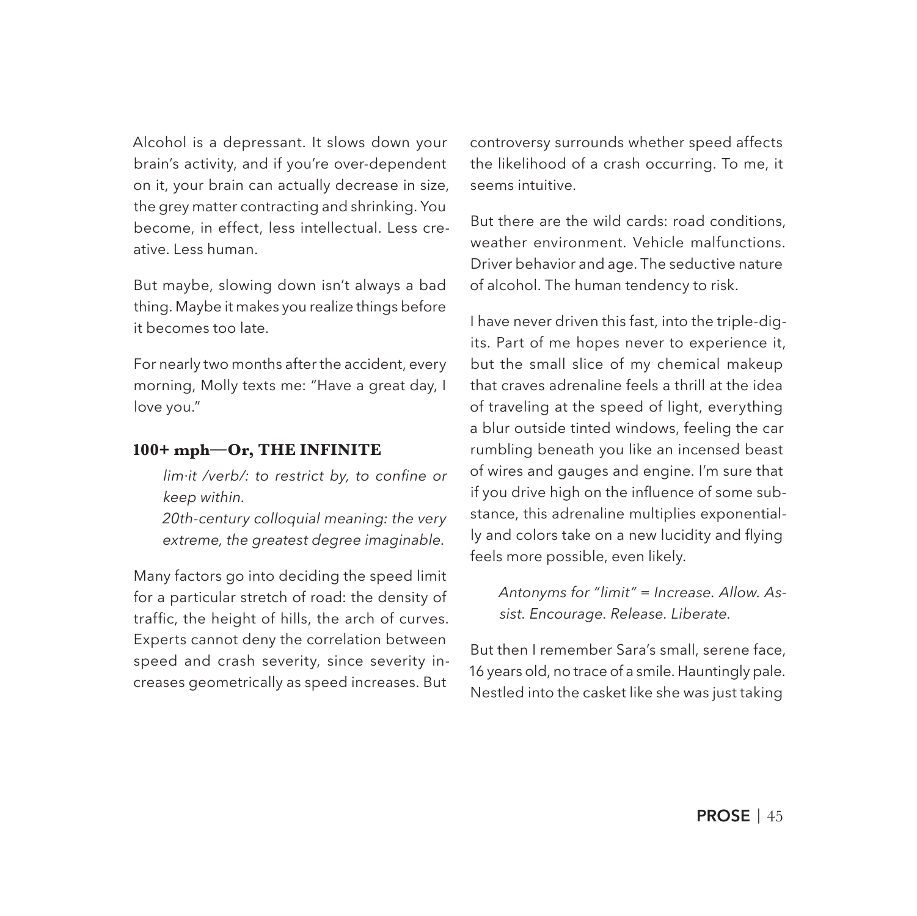Alcohol is a depressant. It slows down your brain's activity, and if you're over-dependent on it, your brain can actually decrease in size, the grey matter contracting and shrinking. You become, in effect, less intellectual. Less creative. Less human.

But maybe, slowing down isn't always a bad thing. Maybe it makes you realize things before it becomes too late.

For nearly two months after the accident, every morning, Molly texts me: "Have a great day, I love you."

#### **100+ mph—Or, THE INFINITE**

*lim·it /verb/: to restrict by, to confine or keep within.* 

*20th-century colloquial meaning: the very extreme, the greatest degree imaginable.*

Many factors go into deciding the speed limit for a particular stretch of road: the density of traffic, the height of hills, the arch of curves. Experts cannot deny the correlation between speed and crash severity, since severity increases geometrically as speed increases. But

controversy surrounds whether speed affects the likelihood of a crash occurring. To me, it seems intuitive.

But there are the wild cards: road conditions, weather environment. Vehicle malfunctions. Driver behavior and age. The seductive nature of alcohol. The human tendency to risk.

I have never driven this fast, into the triple-digits. Part of me hopes never to experience it, but the small slice of my chemical makeup that craves adrenaline feels a thrill at the idea of traveling at the speed of light, everything a blur outside tinted windows, feeling the car rumbling beneath you like an incensed beast of wires and gauges and engine. I'm sure that if you drive high on the influence of some substance, this adrenaline multiplies exponentially and colors take on a new lucidity and flying feels more possible, even likely.

*Antonyms for "limit" = Increase. Allow. Assist. Encourage. Release. Liberate.*

But then I remember Sara's small, serene face, 16 years old, no trace of a smile. Hauntingly pale. Nestled into the casket like she was just taking